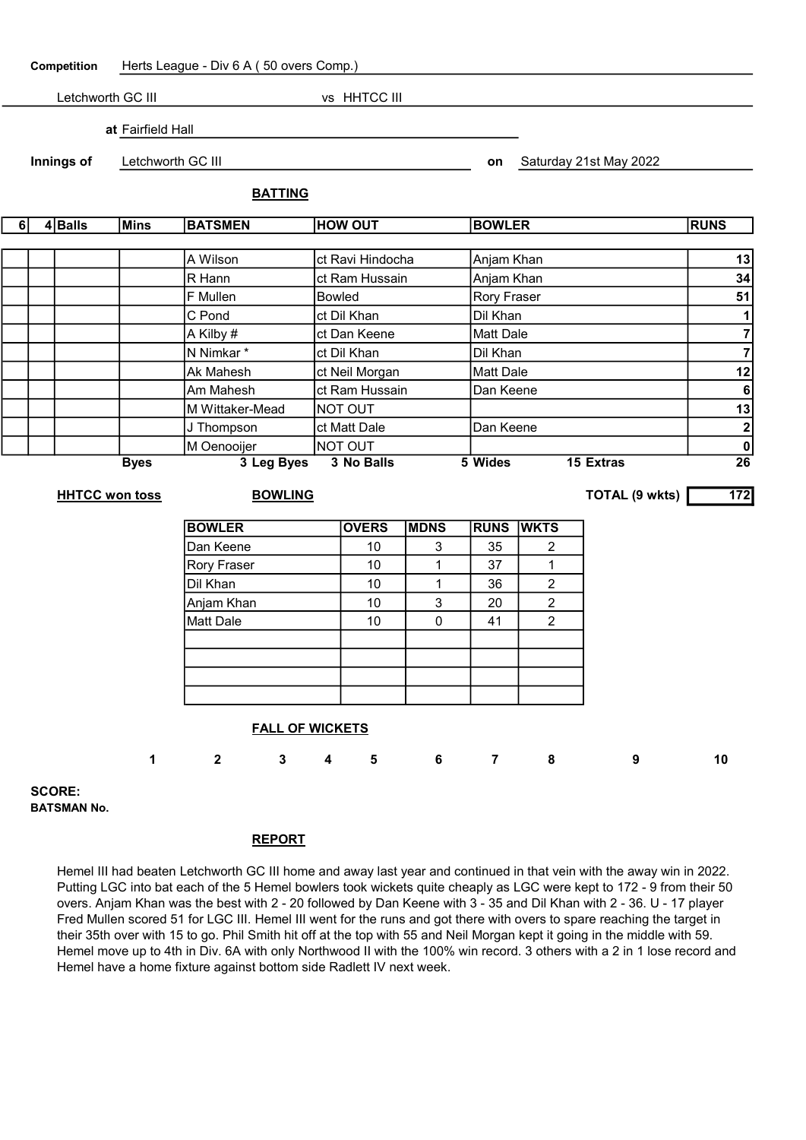Competition Herts League - Div 6 A ( 50 overs Comp.)

| Letchworth GC III |         |  |                   |                | vs HHTCC III   |               |                        |             |
|-------------------|---------|--|-------------------|----------------|----------------|---------------|------------------------|-------------|
|                   |         |  | at Fairfield Hall |                |                |               |                        |             |
| Innings of        |         |  | Letchworth GC III |                |                | on            | Saturday 21st May 2022 |             |
|                   |         |  |                   |                | <b>BATTING</b> |               |                        |             |
| 61                | 4 Balls |  | Mins              | <b>BATSMEN</b> | <b>HOW OUT</b> | <b>BOWLER</b> |                        | <b>RUNS</b> |

| <b>Byes</b> | 3 Leg Byes      | 3 No Balls       | <b>15 Extras</b><br>5 Wides | 26          |
|-------------|-----------------|------------------|-----------------------------|-------------|
|             | M Oenooijer     | NOT OUT          |                             | $\mathbf 0$ |
|             | J Thompson      | ct Matt Dale     | Dan Keene                   | າ           |
|             | M Wittaker-Mead | NOT OUT          |                             | 13          |
|             | Am Mahesh       | ct Ram Hussain   | Dan Keene                   | 6           |
|             | Ak Mahesh       | ct Neil Morgan   | Matt Dale                   | 12          |
|             | N Nimkar*       | ct Dil Khan      | Dil Khan                    |             |
|             | A Kilby #       | ct Dan Keene     | IMatt Dale                  |             |
|             | C Pond          | ct Dil Khan      | Dil Khan                    |             |
|             | F Mullen        | <b>Bowled</b>    | <b>Rory Fraser</b>          | 51          |
|             | R Hann          | ct Ram Hussain   | Anjam Khan                  | 34          |
|             | A Wilson        | ct Ravi Hindocha | Anjam Khan                  | 13          |

## HHTCC won toss BOWLING BOWLING BOWLING TOTAL (9 wkts) 172

BOWLER **OVERS MDNS** RUNS WKTS Dan Keene 10 3 35 2 Rory Fraser | 10 | 1 | 37 | 1 Dil Khan 10 1 1 36 2 Anjam Khan 10 3 20 2 Matt Dale | 10 | 0 | 41 | 2

## FALL OF WICKETS

|  |  |  | 1 2 3 4 5 6 7 8 9 10 |  |
|--|--|--|----------------------|--|
|  |  |  |                      |  |

SCORE: BATSMAN No.

## REPORT

Hemel III had beaten Letchworth GC III home and away last year and continued in that vein with the away win in 2022. Putting LGC into bat each of the 5 Hemel bowlers took wickets quite cheaply as LGC were kept to 172 - 9 from their 50 overs. Anjam Khan was the best with 2 - 20 followed by Dan Keene with 3 - 35 and Dil Khan with 2 - 36. U - 17 player Fred Mullen scored 51 for LGC III. Hemel III went for the runs and got there with overs to spare reaching the target in their 35th over with 15 to go. Phil Smith hit off at the top with 55 and Neil Morgan kept it going in the middle with 59. Hemel move up to 4th in Div. 6A with only Northwood II with the 100% win record. 3 others with a 2 in 1 lose record and Hemel have a home fixture against bottom side Radlett IV next week.